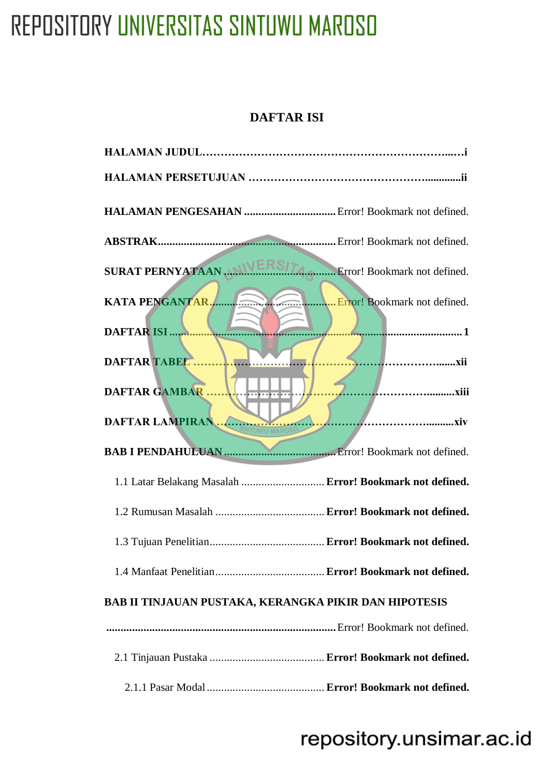#### **DAFTAR ISI**

<span id="page-0-0"></span>

| SURAT PERNYATAAN  NIVERSITA Error! Bookmark not defined.     |  |
|--------------------------------------------------------------|--|
| KATA PENGANTAR.                                              |  |
| DAFTAR ISI                                                   |  |
|                                                              |  |
| <b>DAFTAR GAMBAR</b>                                         |  |
|                                                              |  |
|                                                              |  |
| 1.1 Latar Belakang Masalah  Error! Bookmark not defined.     |  |
|                                                              |  |
|                                                              |  |
|                                                              |  |
| <b>BAB II TINJAUAN PUSTAKA, KERANGKA PIKIR DAN HIPOTESIS</b> |  |
|                                                              |  |
|                                                              |  |
|                                                              |  |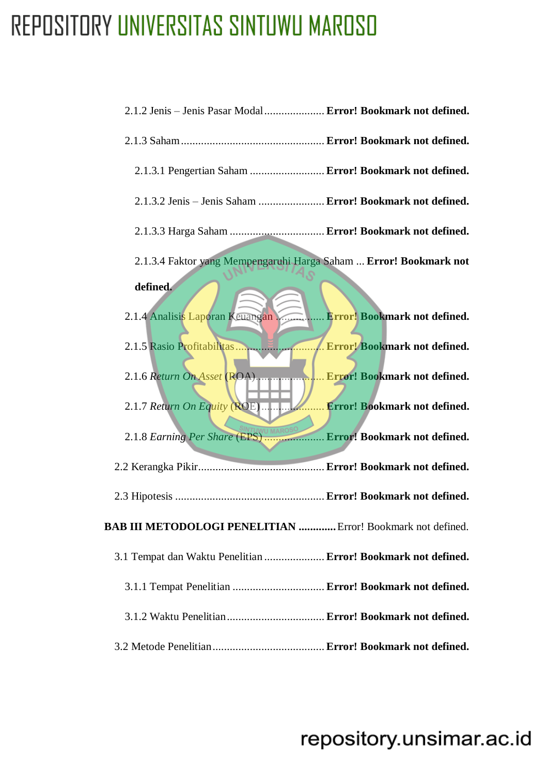| 2.1.2 Jenis - Jenis Pasar Modal  Error! Bookmark not defined.      |                                     |
|--------------------------------------------------------------------|-------------------------------------|
|                                                                    |                                     |
| 2.1.3.1 Pengertian Saham  Error! Bookmark not defined.             |                                     |
| 2.1.3.2 Jenis - Jenis Saham  Error! Bookmark not defined.          |                                     |
| 2.1.3.3 Harga Saham  Error! Bookmark not defined.                  |                                     |
| 2.1.3.4 Faktor yang Mempengaruhi Harga Saham  Error! Bookmark not  |                                     |
| defined.                                                           |                                     |
| 2.1.4 Analisis Laporan Keuangan                                    | <b>Error! Bookmark not defined.</b> |
|                                                                    |                                     |
| 2.1.6 Return On Asset (ROA)                                        | Error! Bookmark not defined.        |
|                                                                    | Error! Bookmark not defined.        |
|                                                                    |                                     |
|                                                                    |                                     |
|                                                                    |                                     |
| <b>BAB III METODOLOGI PENELITIAN </b> Error! Bookmark not defined. |                                     |
| 3.1 Tempat dan Waktu Penelitian  Error! Bookmark not defined.      |                                     |
| 3.1.1 Tempat Penelitian  Error! Bookmark not defined.              |                                     |
|                                                                    |                                     |
|                                                                    |                                     |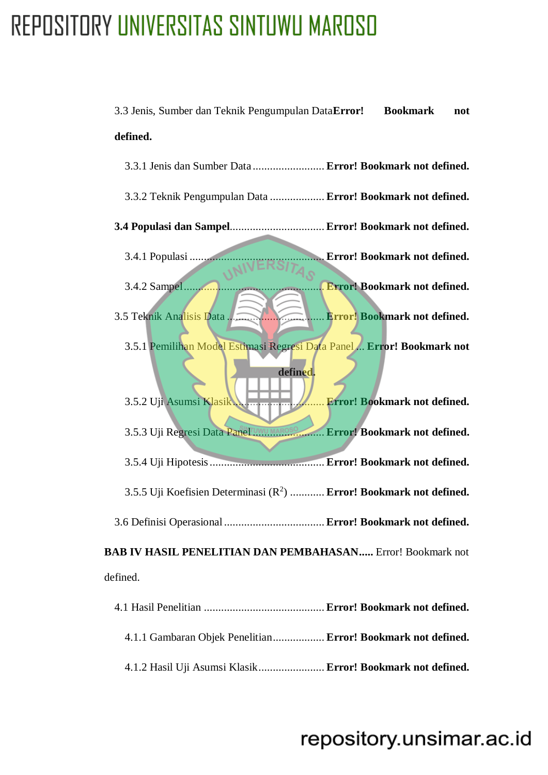| 3.3 Jenis, Sumber dan Teknik Pengumpulan DataError! Bookmark                    | not |
|---------------------------------------------------------------------------------|-----|
| defined.                                                                        |     |
| 3.3.1 Jenis dan Sumber Data  Error! Bookmark not defined.                       |     |
| 3.3.2 Teknik Pengumpulan Data  Error! Bookmark not defined.                     |     |
| 3.4 Populasi dan Sampel Error! Bookmark not defined.                            |     |
| Error! Bookmark not defined.<br>3.4.1 Populasi                                  |     |
| 3.4.2 Sampel<br><b>Error! Bookmark not defined.</b>                             |     |
| Error! Bookmark not defined.<br>3.5 Teknik Analisis Data                        |     |
| 3.5.1 Pemilihan Model Estimasi Regresi Data Panel  Error! Bookmark not          |     |
| defined.<br>3.5.2 Uji Asumsi Klasik<br>Error! Bookmark not defined.             |     |
| 3.5.3 Uji Regresi Data Panel UWU MAROSO Error! Bookmark not defined.            |     |
|                                                                                 |     |
| 3.5.5 Uji Koefisien Determinasi (R <sup>2</sup> )  Error! Bookmark not defined. |     |
|                                                                                 |     |
| <b>BAB IV HASIL PENELITIAN DAN PEMBAHASAN</b> Error! Bookmark not               |     |
| defined.                                                                        |     |
|                                                                                 |     |
| 4.1.1 Gambaran Objek Penelitian Error! Bookmark not defined.                    |     |

4.1.2 Hasil Uji Asumsi Klasik....................... **Error! Bookmark not defined.**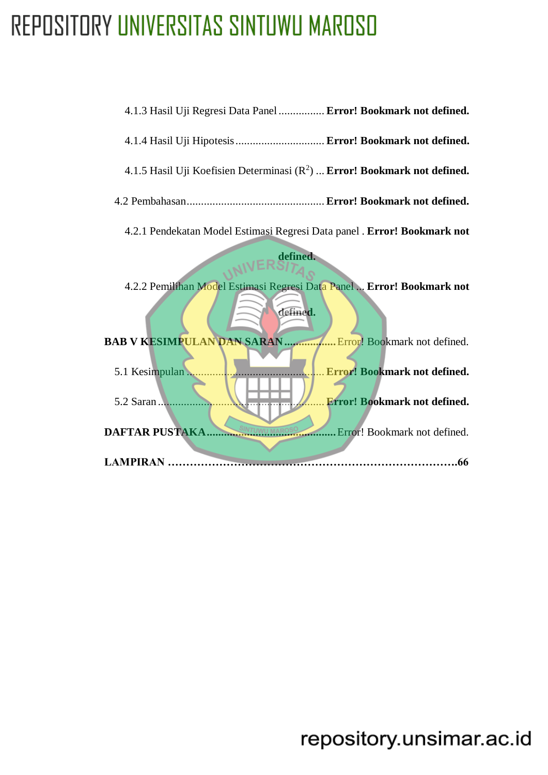<span id="page-3-0"></span>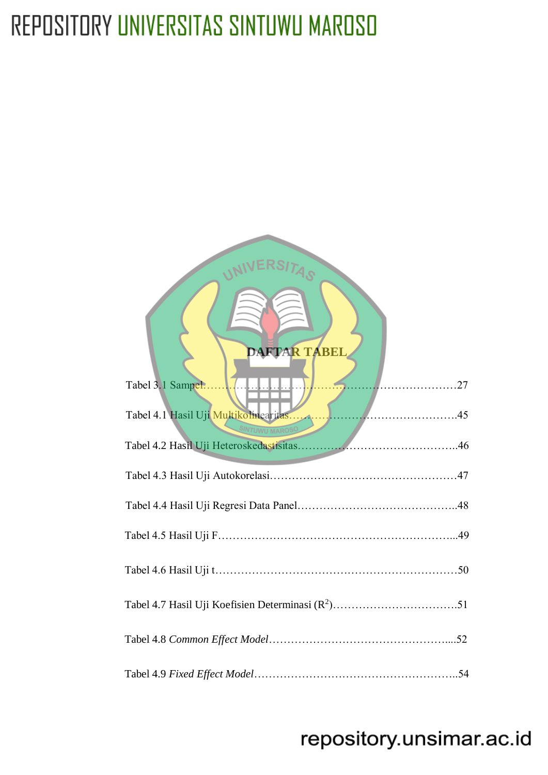| DAFTAR TABEL<br>. 27<br>Tabel 3.1 Sampel. |
|-------------------------------------------|
| Tabel 4.1 Hasil Uji Multikolinearitas     |
|                                           |
|                                           |
|                                           |
|                                           |
|                                           |
|                                           |
|                                           |
|                                           |